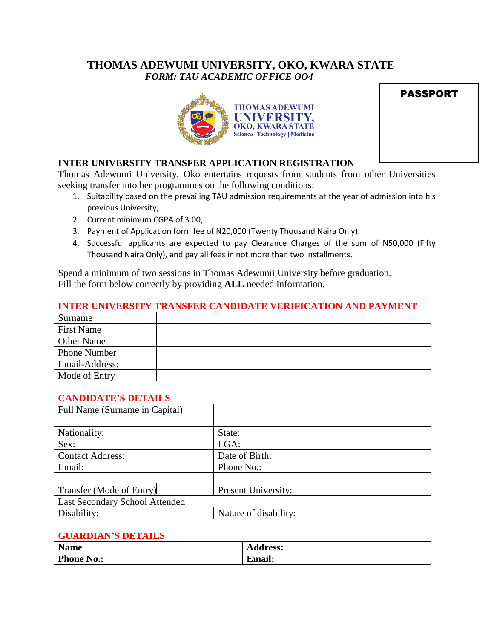# **THOMAS ADEWUMI UNIVERSITY, OKO, KWARA STATE** *FORM: TAU ACADEMIC OFFICE OO4*





# **INTER UNIVERSITY TRANSFER APPLICATION REGISTRATION**

Thomas Adewumi University, Oko entertains requests from students from other Universities seeking transfer into her programmes on the following conditions:

- 1. Suitability based on the prevailing TAU admission requirements at the year of admission into his previous University;
- 2. Current minimum CGPA of 3.00;
- 3. Payment of Application form fee of N20,000 (Twenty Thousand Naira Only).
- 4. Successful applicants are expected to pay Clearance Charges of the sum of N50,000 (Fifty Thousand Naira Only), and pay all fees in not more than two installments.

Spend a minimum of two sessions in Thomas Adewumi University before graduation. Fill the form below correctly by providing **ALL** needed information.

### **INTER UNIVERSITY TRANSFER CANDIDATE VERIFICATION AND PAYMENT**

| Surname             |  |
|---------------------|--|
| <b>First Name</b>   |  |
| <b>Other Name</b>   |  |
| <b>Phone Number</b> |  |
| Email-Address:      |  |
| Mode of Entry       |  |

#### **CANDIDATE'S DETAILS**

| Full Name (Surname in Capital) |                       |
|--------------------------------|-----------------------|
|                                |                       |
| Nationality:                   | State:                |
| Sex:                           | LGA:                  |
| <b>Contact Address:</b>        | Date of Birth:        |
| Email:                         | Phone No.:            |
|                                |                       |
| Transfer (Mode of Entry)       | Present University:   |
| Last Secondary School Attended |                       |
| Disability:                    | Nature of disability: |

#### **GUARDIAN'S DETAILS**

| <b>Name</b>       | <b>Address:</b>     |
|-------------------|---------------------|
| <b>Phone No.:</b> | $\bullet$<br>$\sim$ |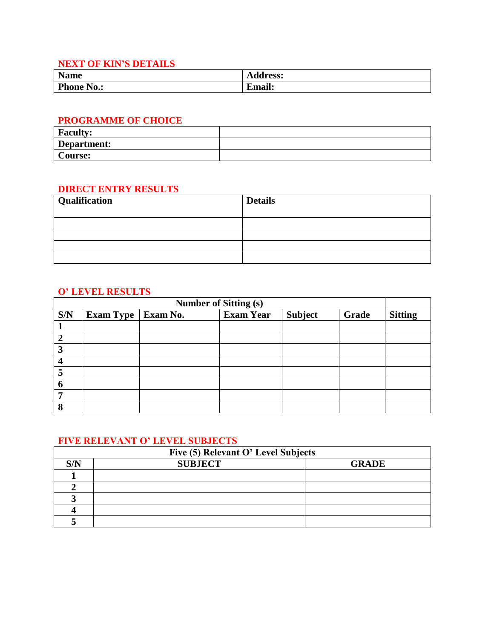# **NEXT OF KIN'S DETAILS**

| <b>Name</b>      | <b>Address:</b> |
|------------------|-----------------|
| <b>Phone</b>     | $^{\bullet}$ T  |
| $\sim$ $\sim$    | –               |
| $\mathbf{N0}$ .: | ∠maıl:          |

#### **PROGRAMME OF CHOICE**

| <b>Faculty:</b> |  |
|-----------------|--|
| Department:     |  |
| Course:         |  |

### **DIRECT ENTRY RESULTS**

| Qualification | <b>Details</b> |
|---------------|----------------|
|               |                |
|               |                |
|               |                |
|               |                |
|               |                |

## **O' LEVEL RESULTS**

| <b>Number of Sitting (s)</b> |                  |          |                  |                |       |                |
|------------------------------|------------------|----------|------------------|----------------|-------|----------------|
| S/N                          | <b>Exam Type</b> | Exam No. | <b>Exam Year</b> | <b>Subject</b> | Grade | <b>Sitting</b> |
|                              |                  |          |                  |                |       |                |
| 2                            |                  |          |                  |                |       |                |
| 3                            |                  |          |                  |                |       |                |
|                              |                  |          |                  |                |       |                |
| 5                            |                  |          |                  |                |       |                |
| 6                            |                  |          |                  |                |       |                |
|                              |                  |          |                  |                |       |                |
| $\bullet$                    |                  |          |                  |                |       |                |

# **FIVE RELEVANT O' LEVEL SUBJECTS**

|     | Five (5) Relevant O' Level Subjects |              |
|-----|-------------------------------------|--------------|
| S/N | <b>SUBJECT</b>                      | <b>GRADE</b> |
|     |                                     |              |
|     |                                     |              |
|     |                                     |              |
|     |                                     |              |
|     |                                     |              |